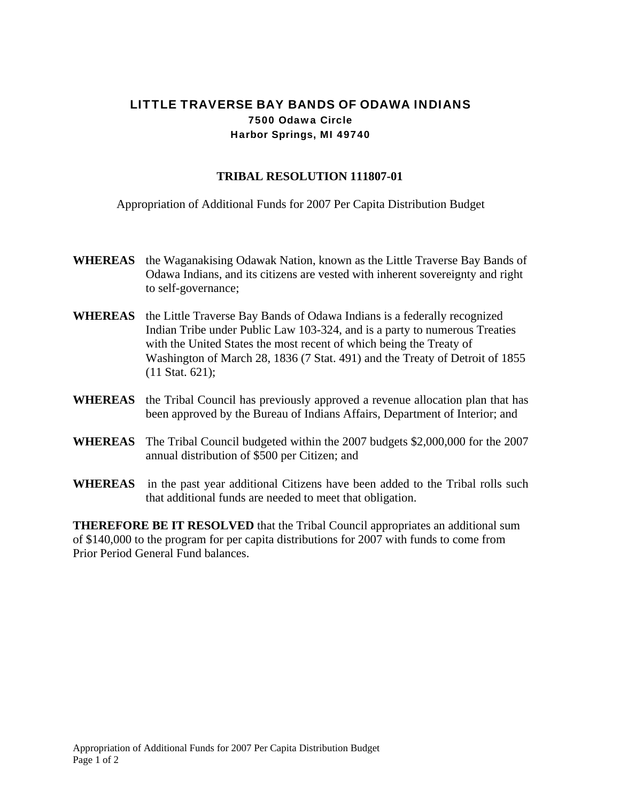## LITTLE TRAVERSE BAY BANDS OF ODAWA INDIANS 7500 Odawa Circle Harbor Springs, MI 49740

## **TRIBAL RESOLUTION 111807-01**

Appropriation of Additional Funds for 2007 Per Capita Distribution Budget

- **WHEREAS** the Waganakising Odawak Nation, known as the Little Traverse Bay Bands of Odawa Indians, and its citizens are vested with inherent sovereignty and right to self-governance;
- **WHEREAS** the Little Traverse Bay Bands of Odawa Indians is a federally recognized Indian Tribe under Public Law 103-324, and is a party to numerous Treaties with the United States the most recent of which being the Treaty of Washington of March 28, 1836 (7 Stat. 491) and the Treaty of Detroit of 1855 (11 Stat. 621);
- **WHEREAS** the Tribal Council has previously approved a revenue allocation plan that has been approved by the Bureau of Indians Affairs, Department of Interior; and
- **WHEREAS** The Tribal Council budgeted within the 2007 budgets \$2,000,000 for the 2007 annual distribution of \$500 per Citizen; and
- **WHEREAS** in the past year additional Citizens have been added to the Tribal rolls such that additional funds are needed to meet that obligation.

**THEREFORE BE IT RESOLVED** that the Tribal Council appropriates an additional sum of \$140,000 to the program for per capita distributions for 2007 with funds to come from Prior Period General Fund balances.